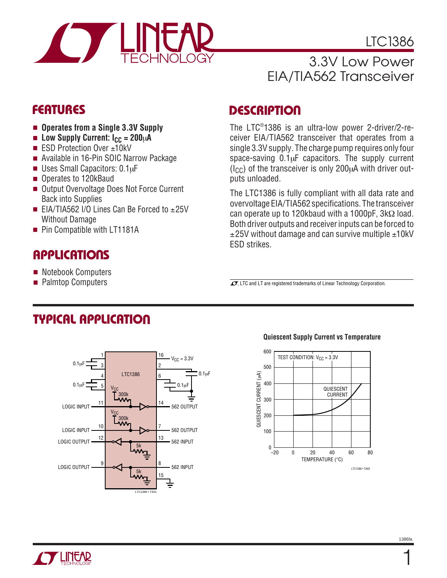

LTC1386

# 3.3V Low Power EIA/TIA562 Transceiver

- **Operates from a Single 3.3V Supply**
- Low Supply Current: I<sub>CC</sub> = 200µA
- ESD Protection Over ±10kV
- Available in 16-Pin SOIC Narrow Package
- Uses Small Capacitors: 0.1µF
- Operates to 120kBaud
- Output Overvoltage Does Not Force Current Back into Supplies
- EIA/TIA562 I/O Lines Can Be Forced to  $±25V$ Without Damage
- Pin Compatible with LT1181A

# **APPLICATIONS**

- Notebook Computers
- Palmtop Computers

### **FEATURES DESCRIPTIO <sup>U</sup>**

The LTC® 1386 is an ultra-low power 2-driver/2-receiver EIA/TIA562 transceiver that operates from a single 3.3V supply. The charge pump requires only four space-saving  $0.1\mu$ F capacitors. The supply current  $(I<sub>CC</sub>)$  of the transceiver is only 200 $\mu$ A with driver outputs unloaded.

The LTC1386 is fully compliant with all data rate and overvoltage EIA/TIA562 specifications. The transceiver can operate up to 120kbaud with a 1000pF, 3kΩ load. Both driver outputs and receiver inputs can be forced to  $\pm$ 25V without damage and can survive multiple  $\pm$ 10kV ESD strikes.

 $\sqrt{J}$ , LTC and LT are registered trademarks of Linear Technology Corporation.

# **TYPICAL APPLICATIO U**



#### **Quiescent Supply Current vs Temperature**



1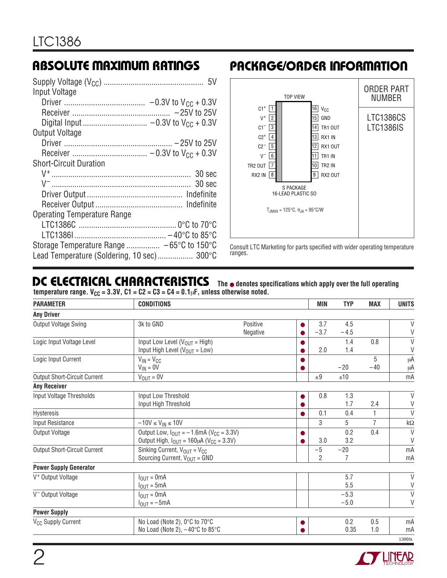| Input Voltage                              |
|--------------------------------------------|
|                                            |
|                                            |
|                                            |
| Output Voltage                             |
|                                            |
|                                            |
| <b>Short-Circuit Duration</b>              |
|                                            |
|                                            |
|                                            |
|                                            |
| <b>Operating Temperature Range</b>         |
|                                            |
|                                            |
| Storage Temperature Range  -65°C to 150°C  |
| Lead Temperature (Soldering, 10 sec) 300°C |

## **ABSOLUTE MAXIMUM RATINGS PACKAGE/ORDER INFORMATION**



Consult LTC Marketing for parts specified with wider operating temperature ranges.

#### **DC ELECTRICAL CHARACTERISTICS The** ● **denotes specifications which apply over the full operating**

temperature range. V<sub>CC</sub> = 3.3V, C1 = C2 = C3 = C4 = 0.1 $\mu$ F, unless otherwise noted.

| <b>PARAMETER</b>                    | <b>CONDITIONS</b>                                                      |          |           | <b>MIN</b>     | <b>TYP</b> | <b>MAX</b>     | <b>UNITS</b> |
|-------------------------------------|------------------------------------------------------------------------|----------|-----------|----------------|------------|----------------|--------------|
| <b>Any Driver</b>                   |                                                                        |          |           |                |            |                |              |
| Output Voltage Swing                | 3k to GND                                                              | Positive |           | 3.7            | 4.5        |                | V            |
|                                     |                                                                        | Negative |           | $-3.7$         | $-4.5$     |                | $\vee$       |
| Logic Input Voltage Level           | Input Low Level ( $V_{OUT}$ = High)                                    |          |           |                | 1.4        | 0.8            | $\vee$       |
|                                     | Input High Level ( $V_{OUT} = Low$ )                                   |          |           | 2.0            | 1.4        |                | V            |
| Logic Input Current                 | $V_{IN} = V_{CC}$                                                      |          |           |                |            | 5              | μA           |
|                                     | $V_{IN} = 0V$                                                          |          |           |                | $-20$      | $-40$          | μA           |
| <b>Output Short-Circuit Current</b> | $V_{OUT} = 0V$                                                         |          |           | ±9             | ±10        |                | mA           |
| <b>Any Receiver</b>                 |                                                                        |          |           |                |            |                |              |
| Input Voltage Thresholds            | Input Low Threshold                                                    |          |           | 0.8            | 1.3        |                | V            |
|                                     | Input High Threshold                                                   |          |           |                | 1.7        | 2.4            | V            |
| Hysteresis                          |                                                                        |          |           | 0.1            | 0.4        | 1              | $\vee$       |
| Input Resistance                    | $-10V \leq V_{IN} \leq 10V$                                            |          |           | 3              | 5          | $\overline{7}$ | $k\Omega$    |
| Output Voltage                      | Output Low, $I_{\text{OUT}} = -1.6 \text{mA}$ (V <sub>CC</sub> = 3.3V) |          |           |                | 0.2        | 0.4            | $\vee$       |
|                                     | Output High, $I_{OUT} = 160 \mu A (V_{CC} = 3.3 V)$                    |          |           | 3.0            | 3.2        |                | V            |
| <b>Output Short-Circuit Current</b> | Sinking Current, $V_{OUT} = V_{CC}$                                    |          |           | $-5$           | $-20$      |                | mA           |
|                                     | Sourcing Current, $V_{OUT}$ = GND                                      |          |           | $\overline{2}$ | 7          |                | mA           |
| <b>Power Supply Generator</b>       |                                                                        |          |           |                |            |                |              |
| V <sup>+</sup> Output Voltage       | $I_{OIII} = 0mA$                                                       |          |           |                | 5.7        |                | $\vee$       |
|                                     | $I_{\text{OUT}} = 5 \text{mA}$                                         |          |           |                | 5.5        |                | $\vee$       |
| V <sup>-</sup> Output Voltage       | $I_{\text{OUT}} = 0 \text{mA}$                                         |          |           |                | $-5.3$     |                | $\vee$       |
|                                     | $I_{OUT} = -5mA$                                                       |          |           |                | $-5.0$     |                | $\vee$       |
| <b>Power Supply</b>                 |                                                                        |          |           |                |            |                |              |
| V <sub>CC</sub> Supply Current      | No Load (Note 2), 0°C to 70°C                                          |          | $\bullet$ |                | 0.2        | 0.5            | mA           |
|                                     | No Load (Note 2), $-40^{\circ}$ C to 85 $^{\circ}$ C                   |          |           |                | 0.35       | 1.0            | mA           |
|                                     |                                                                        |          |           |                |            |                | 1386fa       |

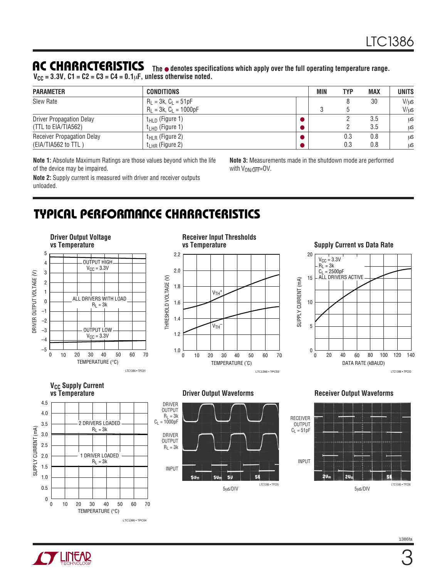#### **AC CHARACTERISTICS**

| <b>ITU UNITIBITU I CISID IIUD</b> The <b>•</b> denotes specifications which apply over the full operating temperature range.<br>$V_{CC}$ = 3.3V, C1 = C2 = C3 = C4 = 0.1 $\mu$ F, unless otherwise noted. |                   |     |     |            |              |  |
|-----------------------------------------------------------------------------------------------------------------------------------------------------------------------------------------------------------|-------------------|-----|-----|------------|--------------|--|
| <b>PARAMETER</b>                                                                                                                                                                                          | <b>CONDITIONS</b> | MIN | TYP | <b>MAX</b> | <b>UNITS</b> |  |

| <b>PARAMEIER</b>                  | <b>CUNDITIONS</b>           | <b>IVIIN</b> | 1 Y P | MAX  | UNIIS |
|-----------------------------------|-----------------------------|--------------|-------|------|-------|
| Slew Rate                         | $R_L = 3k$ , $C_L = 51pF$   |              | 30    | V/us |       |
|                                   | $R_1 = 3k$ , $C_1 = 1000pF$ |              |       |      | V/us  |
| <b>Driver Propagation Delay</b>   | $t_{\text{HLD}}$ (Figure 1) |              |       | 3.5  | μS    |
| (TTL to EIA/TIA562)               | $t_{LHD}$ (Figure 1)        |              |       | 3.5  | μS    |
| <b>Receiver Propagation Delay</b> | $t_{HLR}$ (Figure 2)        |              | 0.3   | 0.8  | μS    |
| (EIA/TIA562 to TTL)               | $t_{LHR}$ (Figure 2)        |              | 0.3   | 0.8  | μS    |

**Note 1:** Absolute Maximum Ratings are those values beyond which the life of the device may be impaired.

**Note 2:** Supply current is measured with driver and receiver outputs unloaded.

**Note 3:** Measurements made in the shutdown mode are performed with  $V_{ON/\overline{OFF}} = OV$ .

# **TYPICAL PERFORMANCE CHARACTERISTICS**

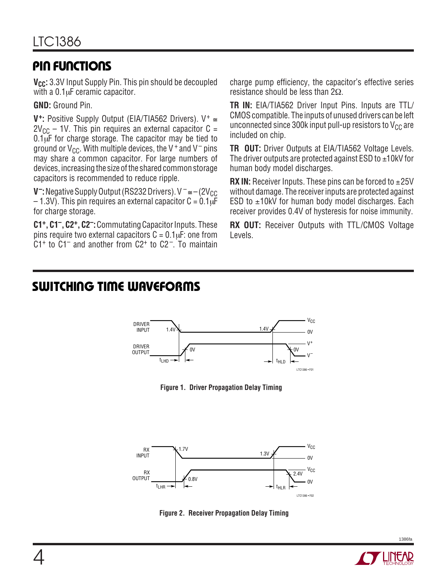## **PIN FUNCTIONS**

**V<sub>CC</sub>:** 3.3V Input Supply Pin. This pin should be decoupled with a  $0.1 \mu$ F ceramic capacitor.

**GND:** Ground Pin.

**V+:** Positive Supply Output (EIA/TIA562 Drivers). V<sup>+</sup> ≅  $2V_{CC}$  – 1V. This pin requires an external capacitor C =  $0.1\mu$ F for charge storage. The capacitor may be tied to ground or  $V_{CC}$ . With multiple devices, the V<sup>+</sup> and V<sup>-</sup> pins may share a common capacitor. For large numbers of devices, increasing the size of the shared common storage capacitors is recommended to reduce ripple.

**V<sup>-</sup>:** Negative Supply Output (RS232 Drivers). V <sup>-</sup> ≅ – (2V<sub>CC</sub>)  $-1.3V$ ). This pin requires an external capacitor C = 0.1 $\overline{u}$ F for charge storage.

**C1+, C1–, C2+, C2–:**Commutating Capacitor Inputs. These pins require two external capacitors  $C = 0.1 \mu F$ : one from  $C1<sup>+</sup>$  to  $C1<sup>-</sup>$  and another from  $C2<sup>+</sup>$  to  $C2<sup>-</sup>$ . To maintain

charge pump efficiency, the capacitor's effective series resistance should be less than 2Ω.

**TR IN:** EIA/TIA562 Driver Input Pins. Inputs are TTL/ CMOS compatible. The inputs of unused drivers can be left unconnected since 300k input pull-up resistors to  $V_{CC}$  are included on chip.

**TR OUT:** Driver Outputs at EIA/TIA562 Voltage Levels. The driver outputs are protected against ESD to  $\pm 10$ kV for human body model discharges.

**RX IN:** Receiver Inputs. These pins can be forced to  $\pm 25V$ without damage. The receiver inputs are protected against ESD to  $\pm$ 10kV for human body model discharges. Each receiver provides 0.4V of hysteresis for noise immunity.

**RX OUT:** Receiver Outputs with TTL/CMOS Voltage Levels.

## **SWITCHING TIME WAVEFORMS**



**Figure 1. Driver Propagation Delay Timing**



**Figure 2. Receiver Propagation Delay Timing**



1386fa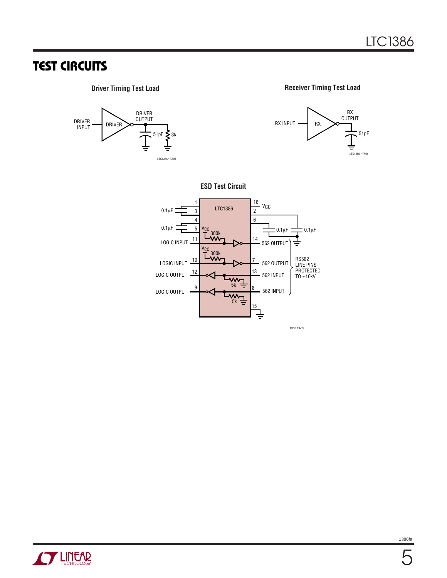## **TEST CIRCUITS**



**STARTE AND TECHNOLOGY**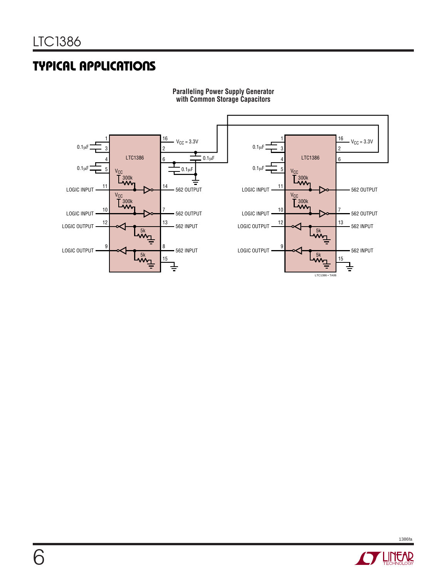# **TYPICAL APPLICATIONS**



#### **Paralleling Power Supply Generator with Common Storage Capacitors**

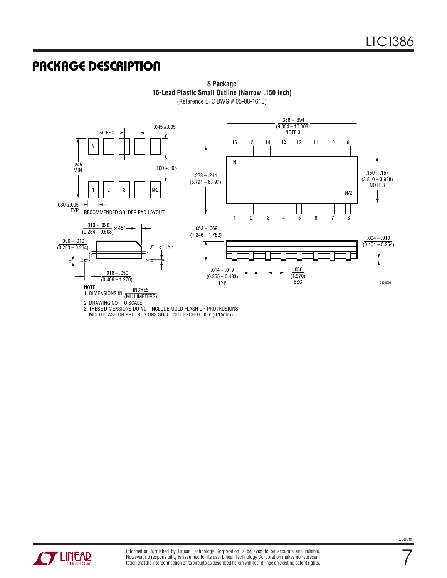#### **U PACKAGE DESCRIPTIO**



**S Package 16-Lead Plastic Small Outline (Narrow .150 Inch)** (Reference LTC DWG # 05-08-1610)

3. THESE DIMENSIONS DO NOT INCLUDE MOLD FLASH OR PROTRUSIONS.

MOLD FLASH OR PROTRUSIONS SHALL NOT EXCEED .006" (0.15mm)



7